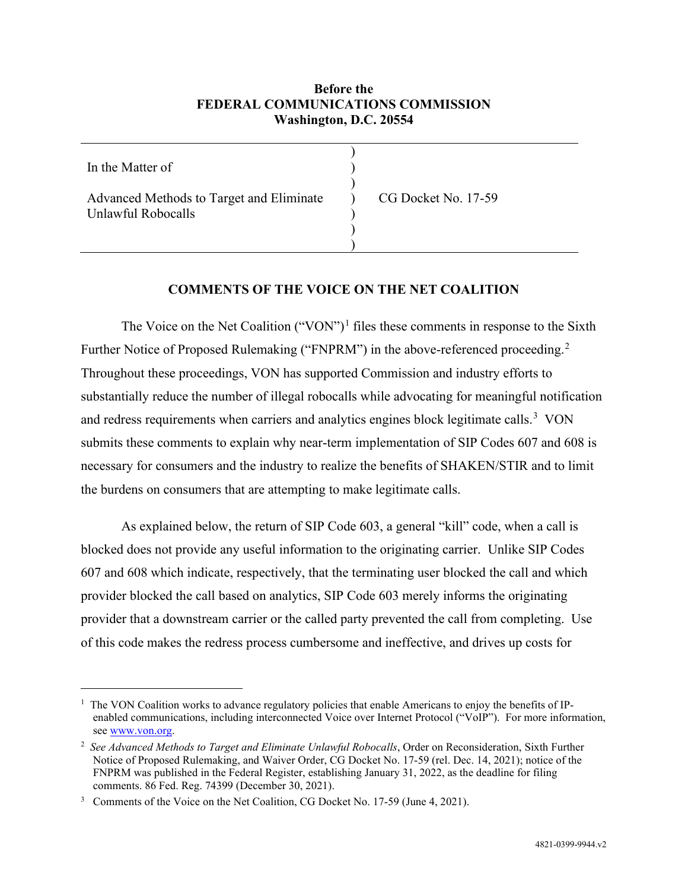# **Before the FEDERAL COMMUNICATIONS COMMISSION Washington, D.C. 20554**

| In the Matter of                                               |                     |
|----------------------------------------------------------------|---------------------|
| Advanced Methods to Target and Eliminate<br>Unlawful Robocalls | CG Docket No. 17-59 |
|                                                                |                     |
|                                                                |                     |

## **COMMENTS OF THE VOICE ON THE NET COALITION**

The Voice on the Net Coalition ("VON")<sup>[1](#page-0-0)</sup> files these comments in response to the Sixth Further Notice of Proposed Rulemaking ("FNPRM") in the above-referenced proceeding.<sup>[2](#page-0-1)</sup> Throughout these proceedings, VON has supported Commission and industry efforts to substantially reduce the number of illegal robocalls while advocating for meaningful notification and redress requirements when carriers and analytics engines block legitimate calls. $3 \text{ VON}$  $3 \text{ VON}$ submits these comments to explain why near-term implementation of SIP Codes 607 and 608 is necessary for consumers and the industry to realize the benefits of SHAKEN/STIR and to limit the burdens on consumers that are attempting to make legitimate calls.

As explained below, the return of SIP Code 603, a general "kill" code, when a call is blocked does not provide any useful information to the originating carrier. Unlike SIP Codes 607 and 608 which indicate, respectively, that the terminating user blocked the call and which provider blocked the call based on analytics, SIP Code 603 merely informs the originating provider that a downstream carrier or the called party prevented the call from completing. Use of this code makes the redress process cumbersome and ineffective, and drives up costs for

<span id="page-0-0"></span><sup>&</sup>lt;sup>1</sup> The VON Coalition works to advance regulatory policies that enable Americans to enjoy the benefits of IPenabled communications, including interconnected Voice over Internet Protocol ("VoIP"). For more information, see [www.von.org.](http://www.von.org/)

<span id="page-0-1"></span><sup>&</sup>lt;sup>2</sup> See Advanced Methods to Target and Eliminate Unlawful Robocalls, Order on Reconsideration, Sixth Further Notice of Proposed Rulemaking, and Waiver Order, CG Docket No. 17-59 (rel. Dec. 14, 2021); notice of the FNPRM was published in the Federal Register, establishing January 31, 2022, as the deadline for filing comments. 86 Fed. Reg. 74399 (December 30, 2021).

<span id="page-0-2"></span><sup>&</sup>lt;sup>3</sup> Comments of the Voice on the Net Coalition, CG Docket No. 17-59 (June 4, 2021).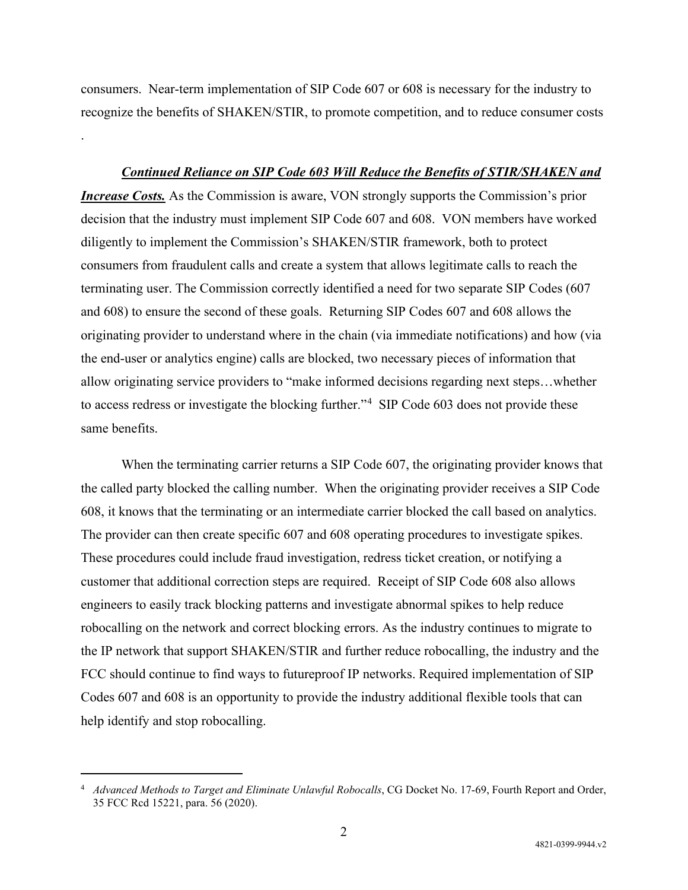consumers. Near-term implementation of SIP Code 607 or 608 is necessary for the industry to recognize the benefits of SHAKEN/STIR, to promote competition, and to reduce consumer costs

.

#### *Continued Reliance on SIP Code 603 Will Reduce the Benefits of STIR/SHAKEN and*

*Increase Costs.* As the Commission is aware, VON strongly supports the Commission's prior decision that the industry must implement SIP Code 607 and 608. VON members have worked diligently to implement the Commission's SHAKEN/STIR framework, both to protect consumers from fraudulent calls and create a system that allows legitimate calls to reach the terminating user. The Commission correctly identified a need for two separate SIP Codes (607 and 608) to ensure the second of these goals. Returning SIP Codes 607 and 608 allows the originating provider to understand where in the chain (via immediate notifications) and how (via the end-user or analytics engine) calls are blocked, two necessary pieces of information that allow originating service providers to "make informed decisions regarding next steps…whether to access redress or investigate the blocking further."<sup>[4](#page-1-0)</sup> SIP Code 603 does not provide these same benefits.

When the terminating carrier returns a SIP Code 607, the originating provider knows that the called party blocked the calling number. When the originating provider receives a SIP Code 608, it knows that the terminating or an intermediate carrier blocked the call based on analytics. The provider can then create specific 607 and 608 operating procedures to investigate spikes. These procedures could include fraud investigation, redress ticket creation, or notifying a customer that additional correction steps are required. Receipt of SIP Code 608 also allows engineers to easily track blocking patterns and investigate abnormal spikes to help reduce robocalling on the network and correct blocking errors. As the industry continues to migrate to the IP network that support SHAKEN/STIR and further reduce robocalling, the industry and the FCC should continue to find ways to futureproof IP networks. Required implementation of SIP Codes 607 and 608 is an opportunity to provide the industry additional flexible tools that can help identify and stop robocalling.

<span id="page-1-0"></span><sup>&</sup>lt;sup>4</sup> *Advanced Methods to Target and Eliminate Unlawful Robocalls*, CG Docket No. 17-69, Fourth Report and Order, 35 FCC Rcd 15221, para. 56 (2020).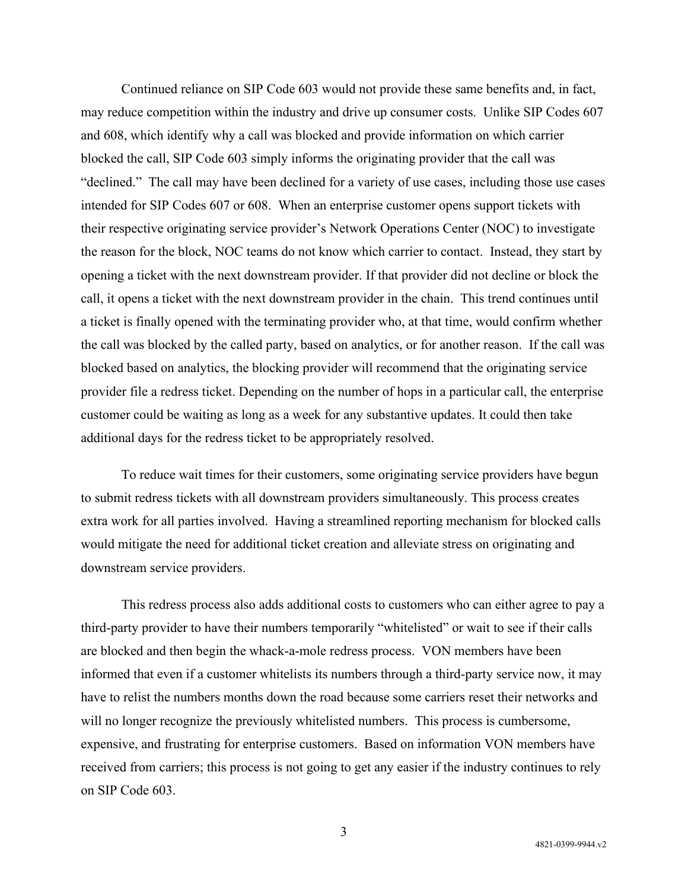Continued reliance on SIP Code 603 would not provide these same benefits and, in fact, may reduce competition within the industry and drive up consumer costs. Unlike SIP Codes 607 and 608, which identify why a call was blocked and provide information on which carrier blocked the call, SIP Code 603 simply informs the originating provider that the call was "declined." The call may have been declined for a variety of use cases, including those use cases intended for SIP Codes 607 or 608. When an enterprise customer opens support tickets with their respective originating service provider's Network Operations Center (NOC) to investigate the reason for the block, NOC teams do not know which carrier to contact. Instead, they start by opening a ticket with the next downstream provider. If that provider did not decline or block the call, it opens a ticket with the next downstream provider in the chain. This trend continues until a ticket is finally opened with the terminating provider who, at that time, would confirm whether the call was blocked by the called party, based on analytics, or for another reason. If the call was blocked based on analytics, the blocking provider will recommend that the originating service provider file a redress ticket. Depending on the number of hops in a particular call, the enterprise customer could be waiting as long as a week for any substantive updates. It could then take additional days for the redress ticket to be appropriately resolved.

To reduce wait times for their customers, some originating service providers have begun to submit redress tickets with all downstream providers simultaneously. This process creates extra work for all parties involved. Having a streamlined reporting mechanism for blocked calls would mitigate the need for additional ticket creation and alleviate stress on originating and downstream service providers.

This redress process also adds additional costs to customers who can either agree to pay a third-party provider to have their numbers temporarily "whitelisted" or wait to see if their calls are blocked and then begin the whack-a-mole redress process. VON members have been informed that even if a customer whitelists its numbers through a third-party service now, it may have to relist the numbers months down the road because some carriers reset their networks and will no longer recognize the previously whitelisted numbers. This process is cumbersome, expensive, and frustrating for enterprise customers. Based on information VON members have received from carriers; this process is not going to get any easier if the industry continues to rely on SIP Code 603.

3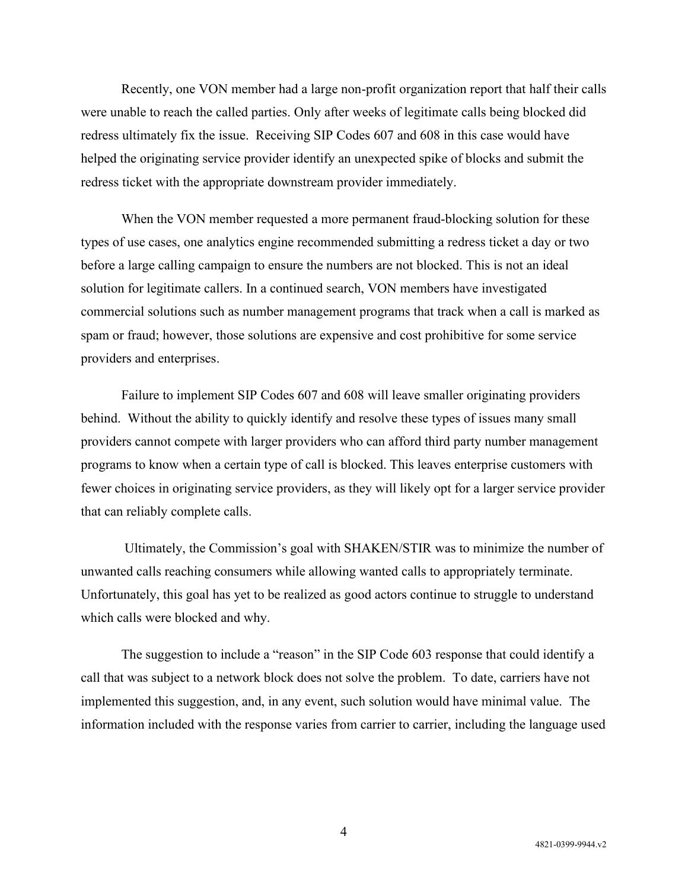Recently, one VON member had a large non-profit organization report that half their calls were unable to reach the called parties. Only after weeks of legitimate calls being blocked did redress ultimately fix the issue. Receiving SIP Codes 607 and 608 in this case would have helped the originating service provider identify an unexpected spike of blocks and submit the redress ticket with the appropriate downstream provider immediately.

When the VON member requested a more permanent fraud-blocking solution for these types of use cases, one analytics engine recommended submitting a redress ticket a day or two before a large calling campaign to ensure the numbers are not blocked. This is not an ideal solution for legitimate callers. In a continued search, VON members have investigated commercial solutions such as number management programs that track when a call is marked as spam or fraud; however, those solutions are expensive and cost prohibitive for some service providers and enterprises.

Failure to implement SIP Codes 607 and 608 will leave smaller originating providers behind. Without the ability to quickly identify and resolve these types of issues many small providers cannot compete with larger providers who can afford third party number management programs to know when a certain type of call is blocked. This leaves enterprise customers with fewer choices in originating service providers, as they will likely opt for a larger service provider that can reliably complete calls.

Ultimately, the Commission's goal with SHAKEN/STIR was to minimize the number of unwanted calls reaching consumers while allowing wanted calls to appropriately terminate. Unfortunately, this goal has yet to be realized as good actors continue to struggle to understand which calls were blocked and why.

The suggestion to include a "reason" in the SIP Code 603 response that could identify a call that was subject to a network block does not solve the problem. To date, carriers have not implemented this suggestion, and, in any event, such solution would have minimal value. The information included with the response varies from carrier to carrier, including the language used

4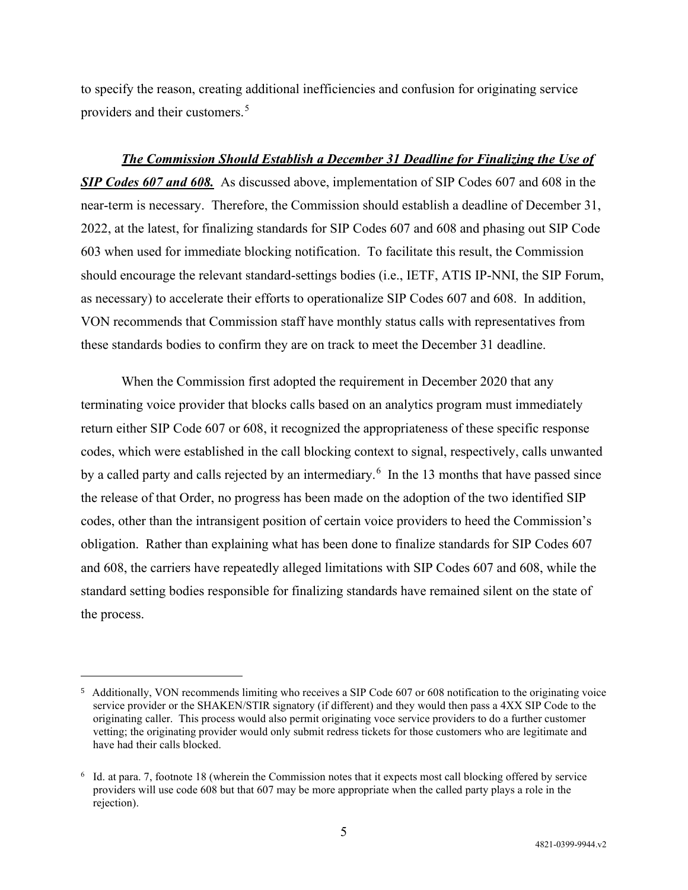to specify the reason, creating additional inefficiencies and confusion for originating service providers and their customers. [5](#page-4-0)

*The Commission Should Establish a December 31 Deadline for Finalizing the Use of SIP Codes 607 and 608.* As discussed above, implementation of SIP Codes 607 and 608 in the near-term is necessary. Therefore, the Commission should establish a deadline of December 31, 2022, at the latest, for finalizing standards for SIP Codes 607 and 608 and phasing out SIP Code 603 when used for immediate blocking notification. To facilitate this result, the Commission should encourage the relevant standard-settings bodies (i.e., IETF, ATIS IP-NNI, the SIP Forum, as necessary) to accelerate their efforts to operationalize SIP Codes 607 and 608. In addition, VON recommends that Commission staff have monthly status calls with representatives from these standards bodies to confirm they are on track to meet the December 31 deadline.

When the Commission first adopted the requirement in December 2020 that any terminating voice provider that blocks calls based on an analytics program must immediately return either SIP Code 607 or 608, it recognized the appropriateness of these specific response codes, which were established in the call blocking context to signal, respectively, calls unwanted by a called party and calls rejected by an intermediary.<sup>[6](#page-4-1)</sup> In the 13 months that have passed since the release of that Order, no progress has been made on the adoption of the two identified SIP codes, other than the intransigent position of certain voice providers to heed the Commission's obligation. Rather than explaining what has been done to finalize standards for SIP Codes 607 and 608, the carriers have repeatedly alleged limitations with SIP Codes 607 and 608, while the standard setting bodies responsible for finalizing standards have remained silent on the state of the process.

<span id="page-4-0"></span><sup>5</sup> Additionally, VON recommends limiting who receives a SIP Code 607 or 608 notification to the originating voice service provider or the SHAKEN/STIR signatory (if different) and they would then pass a 4XX SIP Code to the originating caller. This process would also permit originating voce service providers to do a further customer vetting; the originating provider would only submit redress tickets for those customers who are legitimate and have had their calls blocked.

<span id="page-4-1"></span><sup>6</sup> Id. at para. 7, footnote 18 (wherein the Commission notes that it expects most call blocking offered by service providers will use code 608 but that 607 may be more appropriate when the called party plays a role in the rejection).